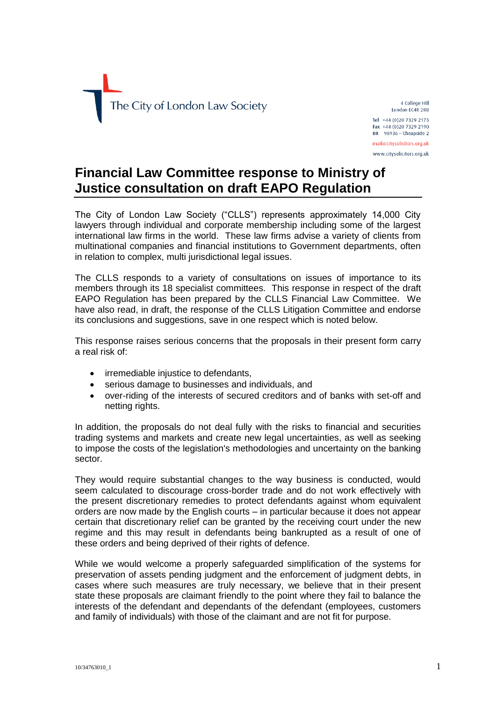

4 College Hill London EC4R 2RB Tel +44 (0)20 7329 2173 Fax +44 (0)20 7329 2190  $DX$  98936 - Cheapside 2 mail@citysolicitors.org.uk www.citysolicitors.org.uk

# **Financial Law Committee response to Ministry of Justice consultation on draft EAPO Regulation**

The City of London Law Society ("CLLS") represents approximately 14,000 City lawyers through individual and corporate membership including some of the largest international law firms in the world. These law firms advise a variety of clients from multinational companies and financial institutions to Government departments, often in relation to complex, multi jurisdictional legal issues.

The CLLS responds to a variety of consultations on issues of importance to its members through its 18 specialist committees. This response in respect of the draft EAPO Regulation has been prepared by the CLLS Financial Law Committee. We have also read, in draft, the response of the CLLS Litigation Committee and endorse its conclusions and suggestions, save in one respect which is noted below.

This response raises serious concerns that the proposals in their present form carry a real risk of:

- irremediable injustice to defendants,
- serious damage to businesses and individuals, and
- over-riding of the interests of secured creditors and of banks with set-off and netting rights.

In addition, the proposals do not deal fully with the risks to financial and securities trading systems and markets and create new legal uncertainties, as well as seeking to impose the costs of the legislation's methodologies and uncertainty on the banking sector.

They would require substantial changes to the way business is conducted, would seem calculated to discourage cross-border trade and do not work effectively with the present discretionary remedies to protect defendants against whom equivalent orders are now made by the English courts – in particular because it does not appear certain that discretionary relief can be granted by the receiving court under the new regime and this may result in defendants being bankrupted as a result of one of these orders and being deprived of their rights of defence.

While we would welcome a properly safeguarded simplification of the systems for preservation of assets pending judgment and the enforcement of judgment debts, in cases where such measures are truly necessary, we believe that in their present state these proposals are claimant friendly to the point where they fail to balance the interests of the defendant and dependants of the defendant (employees, customers and family of individuals) with those of the claimant and are not fit for purpose.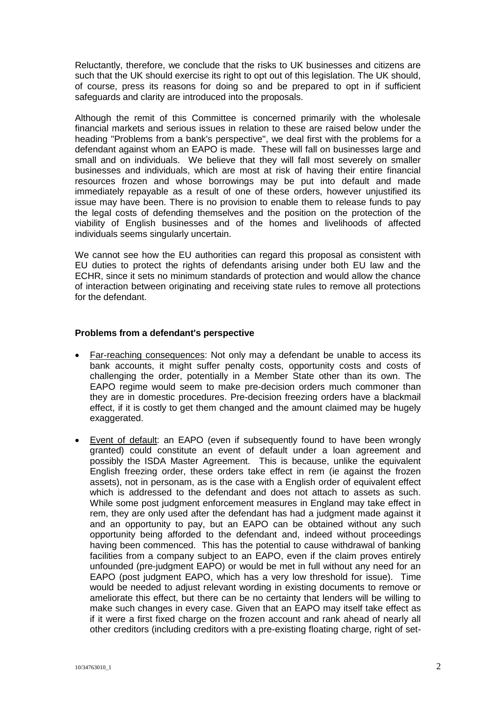Reluctantly, therefore, we conclude that the risks to UK businesses and citizens are such that the UK should exercise its right to opt out of this legislation. The UK should, of course, press its reasons for doing so and be prepared to opt in if sufficient safeguards and clarity are introduced into the proposals.

Although the remit of this Committee is concerned primarily with the wholesale financial markets and serious issues in relation to these are raised below under the heading "Problems from a bank's perspective", we deal first with the problems for a defendant against whom an EAPO is made. These will fall on businesses large and small and on individuals. We believe that they will fall most severely on smaller businesses and individuals, which are most at risk of having their entire financial resources frozen and whose borrowings may be put into default and made immediately repayable as a result of one of these orders, however unjustified its issue may have been. There is no provision to enable them to release funds to pay the legal costs of defending themselves and the position on the protection of the viability of English businesses and of the homes and livelihoods of affected individuals seems singularly uncertain.

We cannot see how the EU authorities can regard this proposal as consistent with EU duties to protect the rights of defendants arising under both EU law and the ECHR, since it sets no minimum standards of protection and would allow the chance of interaction between originating and receiving state rules to remove all protections for the defendant.

### **Problems from a defendant's perspective**

- Far-reaching consequences: Not only may a defendant be unable to access its bank accounts, it might suffer penalty costs, opportunity costs and costs of challenging the order, potentially in a Member State other than its own. The EAPO regime would seem to make pre-decision orders much commoner than they are in domestic procedures. Pre-decision freezing orders have a blackmail effect, if it is costly to get them changed and the amount claimed may be hugely exaggerated.
- Event of default: an EAPO (even if subsequently found to have been wrongly granted) could constitute an event of default under a loan agreement and possibly the ISDA Master Agreement. This is because, unlike the equivalent English freezing order, these orders take effect in rem (ie against the frozen assets), not in personam, as is the case with a English order of equivalent effect which is addressed to the defendant and does not attach to assets as such. While some post judgment enforcement measures in England may take effect in rem, they are only used after the defendant has had a judgment made against it and an opportunity to pay, but an EAPO can be obtained without any such opportunity being afforded to the defendant and, indeed without proceedings having been commenced. This has the potential to cause withdrawal of banking facilities from a company subject to an EAPO, even if the claim proves entirely unfounded (pre-judgment EAPO) or would be met in full without any need for an EAPO (post judgment EAPO, which has a very low threshold for issue). Time would be needed to adjust relevant wording in existing documents to remove or ameliorate this effect, but there can be no certainty that lenders will be willing to make such changes in every case. Given that an EAPO may itself take effect as if it were a first fixed charge on the frozen account and rank ahead of nearly all other creditors (including creditors with a pre-existing floating charge, right of set-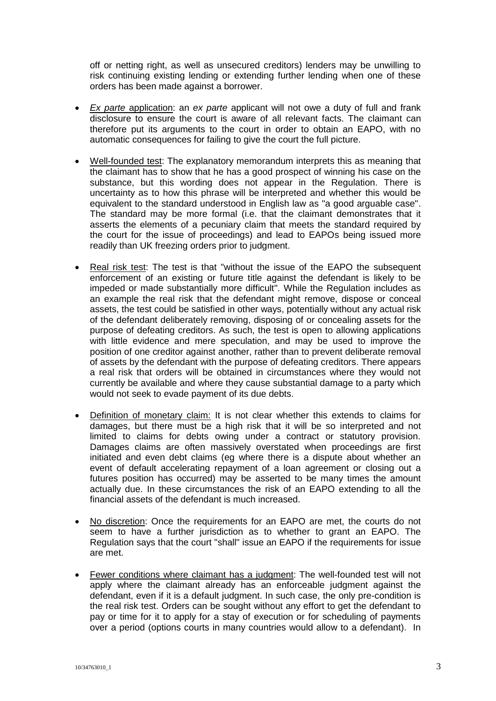off or netting right, as well as unsecured creditors) lenders may be unwilling to risk continuing existing lending or extending further lending when one of these orders has been made against a borrower.

- *Ex parte* application: an *ex parte* applicant will not owe a duty of full and frank disclosure to ensure the court is aware of all relevant facts. The claimant can therefore put its arguments to the court in order to obtain an EAPO, with no automatic consequences for failing to give the court the full picture.
- Well-founded test: The explanatory memorandum interprets this as meaning that the claimant has to show that he has a good prospect of winning his case on the substance, but this wording does not appear in the Regulation. There is uncertainty as to how this phrase will be interpreted and whether this would be equivalent to the standard understood in English law as "a good arguable case". The standard may be more formal (i.e. that the claimant demonstrates that it asserts the elements of a pecuniary claim that meets the standard required by the court for the issue of proceedings) and lead to EAPOs being issued more readily than UK freezing orders prior to judgment.
- Real risk test: The test is that "without the issue of the EAPO the subsequent enforcement of an existing or future title against the defendant is likely to be impeded or made substantially more difficult". While the Regulation includes as an example the real risk that the defendant might remove, dispose or conceal assets, the test could be satisfied in other ways, potentially without any actual risk of the defendant deliberately removing, disposing of or concealing assets for the purpose of defeating creditors. As such, the test is open to allowing applications with little evidence and mere speculation, and may be used to improve the position of one creditor against another, rather than to prevent deliberate removal of assets by the defendant with the purpose of defeating creditors. There appears a real risk that orders will be obtained in circumstances where they would not currently be available and where they cause substantial damage to a party which would not seek to evade payment of its due debts.
- Definition of monetary claim: It is not clear whether this extends to claims for damages, but there must be a high risk that it will be so interpreted and not limited to claims for debts owing under a contract or statutory provision. Damages claims are often massively overstated when proceedings are first initiated and even debt claims (eg where there is a dispute about whether an event of default accelerating repayment of a loan agreement or closing out a futures position has occurred) may be asserted to be many times the amount actually due. In these circumstances the risk of an EAPO extending to all the financial assets of the defendant is much increased.
- No discretion: Once the requirements for an EAPO are met, the courts do not seem to have a further jurisdiction as to whether to grant an EAPO. The Regulation says that the court "shall" issue an EAPO if the requirements for issue are met.
- Fewer conditions where claimant has a judgment: The well-founded test will not apply where the claimant already has an enforceable judgment against the defendant, even if it is a default judgment. In such case, the only pre-condition is the real risk test. Orders can be sought without any effort to get the defendant to pay or time for it to apply for a stay of execution or for scheduling of payments over a period (options courts in many countries would allow to a defendant). In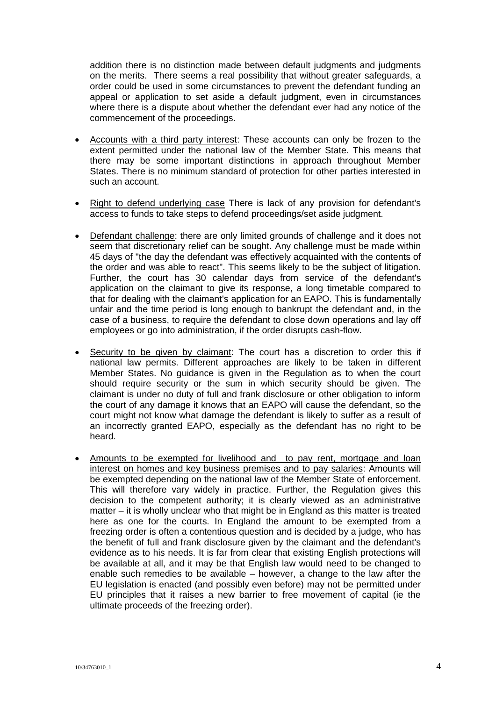addition there is no distinction made between default judgments and judgments on the merits. There seems a real possibility that without greater safeguards, a order could be used in some circumstances to prevent the defendant funding an appeal or application to set aside a default judgment, even in circumstances where there is a dispute about whether the defendant ever had any notice of the commencement of the proceedings.

- Accounts with a third party interest: These accounts can only be frozen to the extent permitted under the national law of the Member State. This means that there may be some important distinctions in approach throughout Member States. There is no minimum standard of protection for other parties interested in such an account.
- Right to defend underlying case There is lack of any provision for defendant's access to funds to take steps to defend proceedings/set aside judgment.
- Defendant challenge: there are only limited grounds of challenge and it does not seem that discretionary relief can be sought. Any challenge must be made within 45 days of "the day the defendant was effectively acquainted with the contents of the order and was able to react". This seems likely to be the subject of litigation. Further, the court has 30 calendar days from service of the defendant's application on the claimant to give its response, a long timetable compared to that for dealing with the claimant's application for an EAPO. This is fundamentally unfair and the time period is long enough to bankrupt the defendant and, in the case of a business, to require the defendant to close down operations and lay off employees or go into administration, if the order disrupts cash-flow.
- Security to be given by claimant: The court has a discretion to order this if national law permits. Different approaches are likely to be taken in different Member States. No guidance is given in the Regulation as to when the court should require security or the sum in which security should be given. The claimant is under no duty of full and frank disclosure or other obligation to inform the court of any damage it knows that an EAPO will cause the defendant, so the court might not know what damage the defendant is likely to suffer as a result of an incorrectly granted EAPO, especially as the defendant has no right to be heard.
- Amounts to be exempted for livelihood and to pay rent, mortgage and loan interest on homes and key business premises and to pay salaries: Amounts will be exempted depending on the national law of the Member State of enforcement. This will therefore vary widely in practice. Further, the Regulation gives this decision to the competent authority; it is clearly viewed as an administrative matter – it is wholly unclear who that might be in England as this matter is treated here as one for the courts. In England the amount to be exempted from a freezing order is often a contentious question and is decided by a judge, who has the benefit of full and frank disclosure given by the claimant and the defendant's evidence as to his needs. It is far from clear that existing English protections will be available at all, and it may be that English law would need to be changed to enable such remedies to be available – however, a change to the law after the EU legislation is enacted (and possibly even before) may not be permitted under EU principles that it raises a new barrier to free movement of capital (ie the ultimate proceeds of the freezing order).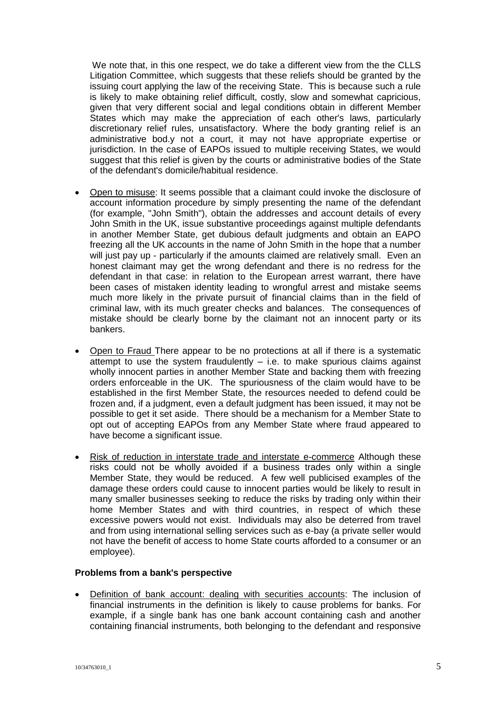We note that, in this one respect, we do take a different view from the the CLLS Litigation Committee, which suggests that these reliefs should be granted by the issuing court applying the law of the receiving State. This is because such a rule is likely to make obtaining relief difficult, costly, slow and somewhat capricious, given that very different social and legal conditions obtain in different Member States which may make the appreciation of each other's laws, particularly discretionary relief rules, unsatisfactory. Where the body granting relief is an administrative bod.y not a court, it may not have appropriate expertise or jurisdiction. In the case of EAPOs issued to multiple receiving States, we would suggest that this relief is given by the courts or administrative bodies of the State of the defendant's domicile/habitual residence.

- Open to misuse: It seems possible that a claimant could invoke the disclosure of account information procedure by simply presenting the name of the defendant (for example, "John Smith"), obtain the addresses and account details of every John Smith in the UK, issue substantive proceedings against multiple defendants in another Member State, get dubious default judgments and obtain an EAPO freezing all the UK accounts in the name of John Smith in the hope that a number will just pay up - particularly if the amounts claimed are relatively small. Even an honest claimant may get the wrong defendant and there is no redress for the defendant in that case: in relation to the European arrest warrant, there have been cases of mistaken identity leading to wrongful arrest and mistake seems much more likely in the private pursuit of financial claims than in the field of criminal law, with its much greater checks and balances. The consequences of mistake should be clearly borne by the claimant not an innocent party or its bankers.
- Open to Fraud There appear to be no protections at all if there is a systematic attempt to use the system fraudulently  $-$  i.e. to make spurious claims against wholly innocent parties in another Member State and backing them with freezing orders enforceable in the UK. The spuriousness of the claim would have to be established in the first Member State, the resources needed to defend could be frozen and, if a judgment, even a default judgment has been issued, it may not be possible to get it set aside. There should be a mechanism for a Member State to opt out of accepting EAPOs from any Member State where fraud appeared to have become a significant issue.
- Risk of reduction in interstate trade and interstate e-commerce Although these risks could not be wholly avoided if a business trades only within a single Member State, they would be reduced. A few well publicised examples of the damage these orders could cause to innocent parties would be likely to result in many smaller businesses seeking to reduce the risks by trading only within their home Member States and with third countries, in respect of which these excessive powers would not exist. Individuals may also be deterred from travel and from using international selling services such as e-bay (a private seller would not have the benefit of access to home State courts afforded to a consumer or an employee).

#### **Problems from a bank's perspective**

 Definition of bank account: dealing with securities accounts: The inclusion of financial instruments in the definition is likely to cause problems for banks. For example, if a single bank has one bank account containing cash and another containing financial instruments, both belonging to the defendant and responsive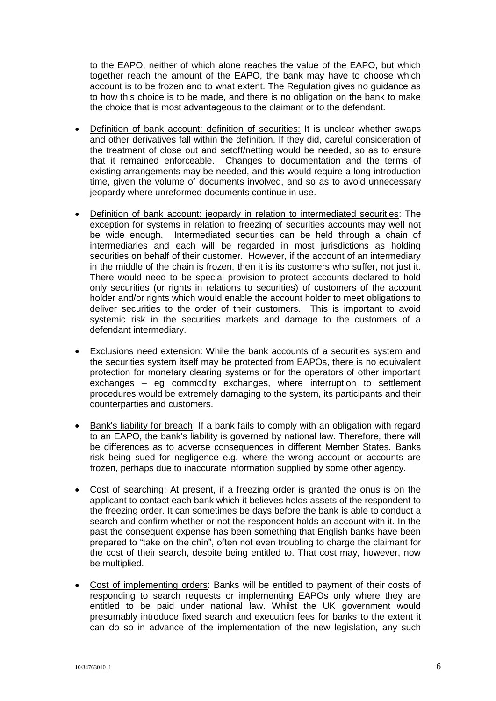to the EAPO, neither of which alone reaches the value of the EAPO, but which together reach the amount of the EAPO, the bank may have to choose which account is to be frozen and to what extent. The Regulation gives no guidance as to how this choice is to be made, and there is no obligation on the bank to make the choice that is most advantageous to the claimant or to the defendant.

- Definition of bank account: definition of securities: It is unclear whether swaps and other derivatives fall within the definition. If they did, careful consideration of the treatment of close out and setoff/netting would be needed, so as to ensure that it remained enforceable. Changes to documentation and the terms of existing arrangements may be needed, and this would require a long introduction time, given the volume of documents involved, and so as to avoid unnecessary jeopardy where unreformed documents continue in use.
- Definition of bank account: jeopardy in relation to intermediated securities: The exception for systems in relation to freezing of securities accounts may well not be wide enough. Intermediated securities can be held through a chain of intermediaries and each will be regarded in most jurisdictions as holding securities on behalf of their customer. However, if the account of an intermediary in the middle of the chain is frozen, then it is its customers who suffer, not just it. There would need to be special provision to protect accounts declared to hold only securities (or rights in relations to securities) of customers of the account holder and/or rights which would enable the account holder to meet obligations to deliver securities to the order of their customers. This is important to avoid systemic risk in the securities markets and damage to the customers of a defendant intermediary.
- Exclusions need extension: While the bank accounts of a securities system and the securities system itself may be protected from EAPOs, there is no equivalent protection for monetary clearing systems or for the operators of other important exchanges – eg commodity exchanges, where interruption to settlement procedures would be extremely damaging to the system, its participants and their counterparties and customers.
- Bank's liability for breach: If a bank fails to comply with an obligation with regard to an EAPO, the bank's liability is governed by national law. Therefore, there will be differences as to adverse consequences in different Member States. Banks risk being sued for negligence e.g. where the wrong account or accounts are frozen, perhaps due to inaccurate information supplied by some other agency.
- Cost of searching: At present, if a freezing order is granted the onus is on the applicant to contact each bank which it believes holds assets of the respondent to the freezing order. It can sometimes be days before the bank is able to conduct a search and confirm whether or not the respondent holds an account with it. In the past the consequent expense has been something that English banks have been prepared to "take on the chin", often not even troubling to charge the claimant for the cost of their search, despite being entitled to. That cost may, however, now be multiplied.
- Cost of implementing orders: Banks will be entitled to payment of their costs of responding to search requests or implementing EAPOs only where they are entitled to be paid under national law. Whilst the UK government would presumably introduce fixed search and execution fees for banks to the extent it can do so in advance of the implementation of the new legislation, any such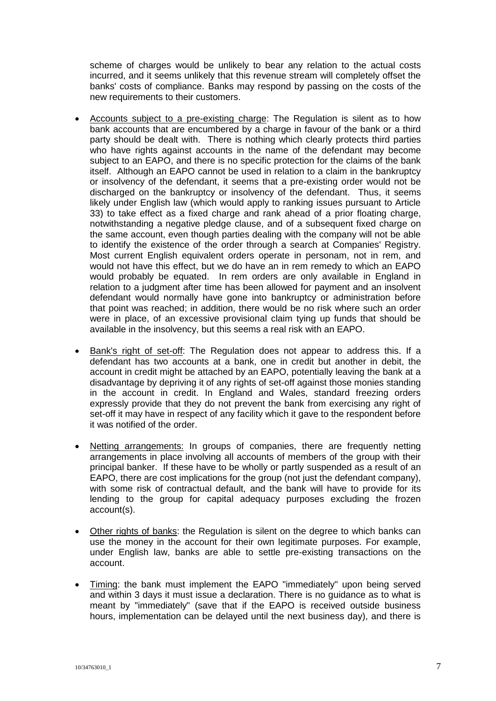scheme of charges would be unlikely to bear any relation to the actual costs incurred, and it seems unlikely that this revenue stream will completely offset the banks' costs of compliance. Banks may respond by passing on the costs of the new requirements to their customers.

- Accounts subject to a pre-existing charge: The Regulation is silent as to how bank accounts that are encumbered by a charge in favour of the bank or a third party should be dealt with. There is nothing which clearly protects third parties who have rights against accounts in the name of the defendant may become subject to an EAPO, and there is no specific protection for the claims of the bank itself. Although an EAPO cannot be used in relation to a claim in the bankruptcy or insolvency of the defendant, it seems that a pre-existing order would not be discharged on the bankruptcy or insolvency of the defendant. Thus, it seems likely under English law (which would apply to ranking issues pursuant to Article 33) to take effect as a fixed charge and rank ahead of a prior floating charge, notwithstanding a negative pledge clause, and of a subsequent fixed charge on the same account, even though parties dealing with the company will not be able to identify the existence of the order through a search at Companies' Registry. Most current English equivalent orders operate in personam, not in rem, and would not have this effect, but we do have an in rem remedy to which an EAPO would probably be equated. In rem orders are only available in England in relation to a judgment after time has been allowed for payment and an insolvent defendant would normally have gone into bankruptcy or administration before that point was reached; in addition, there would be no risk where such an order were in place, of an excessive provisional claim tying up funds that should be available in the insolvency, but this seems a real risk with an EAPO.
- Bank's right of set-off: The Regulation does not appear to address this. If a defendant has two accounts at a bank, one in credit but another in debit, the account in credit might be attached by an EAPO, potentially leaving the bank at a disadvantage by depriving it of any rights of set-off against those monies standing in the account in credit. In England and Wales, standard freezing orders expressly provide that they do not prevent the bank from exercising any right of set-off it may have in respect of any facility which it gave to the respondent before it was notified of the order.
- Netting arrangements: In groups of companies, there are frequently netting arrangements in place involving all accounts of members of the group with their principal banker. If these have to be wholly or partly suspended as a result of an EAPO, there are cost implications for the group (not just the defendant company), with some risk of contractual default, and the bank will have to provide for its lending to the group for capital adequacy purposes excluding the frozen account(s).
- Other rights of banks: the Regulation is silent on the degree to which banks can use the money in the account for their own legitimate purposes. For example, under English law, banks are able to settle pre-existing transactions on the account.
- Timing: the bank must implement the EAPO "immediately" upon being served and within 3 days it must issue a declaration. There is no guidance as to what is meant by "immediately" (save that if the EAPO is received outside business hours, implementation can be delayed until the next business day), and there is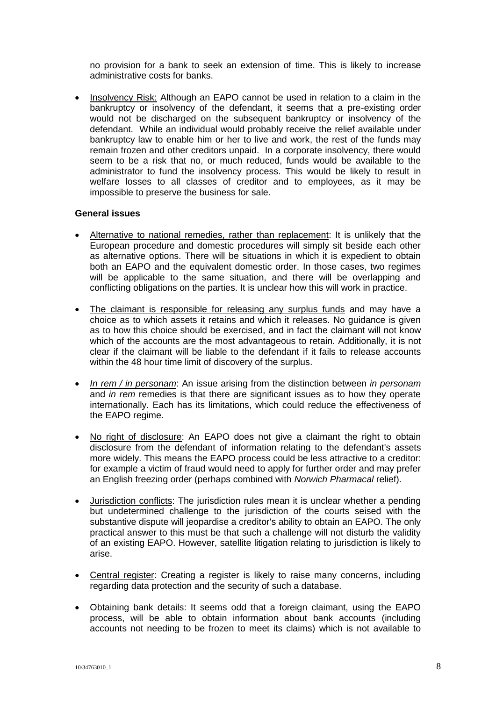no provision for a bank to seek an extension of time. This is likely to increase administrative costs for banks.

• Insolvency Risk: Although an EAPO cannot be used in relation to a claim in the bankruptcy or insolvency of the defendant, it seems that a pre-existing order would not be discharged on the subsequent bankruptcy or insolvency of the defendant. While an individual would probably receive the relief available under bankruptcy law to enable him or her to live and work, the rest of the funds may remain frozen and other creditors unpaid. In a corporate insolvency, there would seem to be a risk that no, or much reduced, funds would be available to the administrator to fund the insolvency process. This would be likely to result in welfare losses to all classes of creditor and to employees, as it may be impossible to preserve the business for sale.

#### **General issues**

- Alternative to national remedies, rather than replacement: It is unlikely that the European procedure and domestic procedures will simply sit beside each other as alternative options. There will be situations in which it is expedient to obtain both an EAPO and the equivalent domestic order. In those cases, two regimes will be applicable to the same situation, and there will be overlapping and conflicting obligations on the parties. It is unclear how this will work in practice.
- The claimant is responsible for releasing any surplus funds and may have a choice as to which assets it retains and which it releases. No guidance is given as to how this choice should be exercised, and in fact the claimant will not know which of the accounts are the most advantageous to retain. Additionally, it is not clear if the claimant will be liable to the defendant if it fails to release accounts within the 48 hour time limit of discovery of the surplus.
- *In rem / in personam*: An issue arising from the distinction between *in personam* and *in rem* remedies is that there are significant issues as to how they operate internationally. Each has its limitations, which could reduce the effectiveness of the EAPO regime.
- No right of disclosure: An EAPO does not give a claimant the right to obtain disclosure from the defendant of information relating to the defendant's assets more widely. This means the EAPO process could be less attractive to a creditor: for example a victim of fraud would need to apply for further order and may prefer an English freezing order (perhaps combined with *Norwich Pharmacal* relief).
- Jurisdiction conflicts: The jurisdiction rules mean it is unclear whether a pending but undetermined challenge to the jurisdiction of the courts seised with the substantive dispute will jeopardise a creditor's ability to obtain an EAPO. The only practical answer to this must be that such a challenge will not disturb the validity of an existing EAPO. However, satellite litigation relating to jurisdiction is likely to arise.
- Central register: Creating a register is likely to raise many concerns, including regarding data protection and the security of such a database.
- Obtaining bank details: It seems odd that a foreign claimant, using the EAPO process, will be able to obtain information about bank accounts (including accounts not needing to be frozen to meet its claims) which is not available to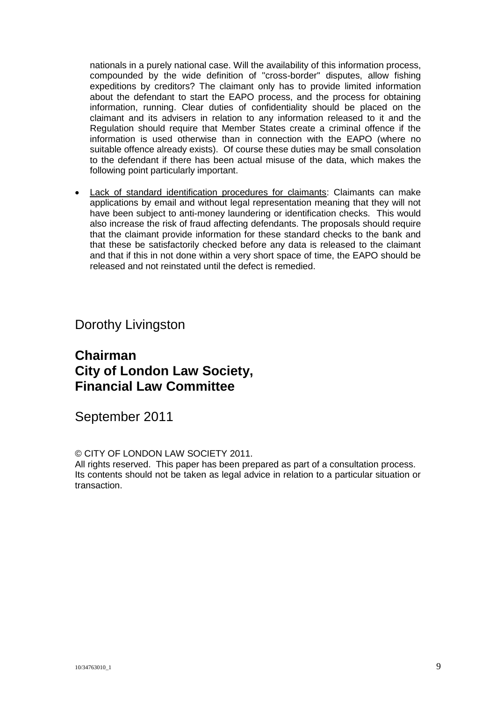nationals in a purely national case. Will the availability of this information process, compounded by the wide definition of "cross-border" disputes, allow fishing expeditions by creditors? The claimant only has to provide limited information about the defendant to start the EAPO process, and the process for obtaining information, running. Clear duties of confidentiality should be placed on the claimant and its advisers in relation to any information released to it and the Regulation should require that Member States create a criminal offence if the information is used otherwise than in connection with the EAPO (where no suitable offence already exists). Of course these duties may be small consolation to the defendant if there has been actual misuse of the data, which makes the following point particularly important.

 Lack of standard identification procedures for claimants: Claimants can make applications by email and without legal representation meaning that they will not have been subject to anti-money laundering or identification checks. This would also increase the risk of fraud affecting defendants. The proposals should require that the claimant provide information for these standard checks to the bank and that these be satisfactorily checked before any data is released to the claimant and that if this in not done within a very short space of time, the EAPO should be released and not reinstated until the defect is remedied.

Dorothy Livingston

## **Chairman City of London Law Society, Financial Law Committee**

September 2011

© CITY OF LONDON LAW SOCIETY 2011.

All rights reserved. This paper has been prepared as part of a consultation process. Its contents should not be taken as legal advice in relation to a particular situation or transaction.